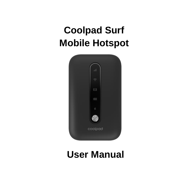# **Coolpad Surf Mobile Hotspot**



## **User Manual**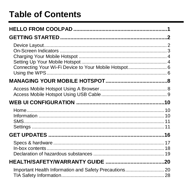## **Table of Contents**

| Important Health Information and Safety Precautions 20 |  |
|--------------------------------------------------------|--|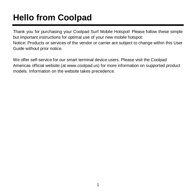# <span id="page-4-0"></span>**Hello from Coolpad**

Thank you for purchasing your Coolpad Surf Mobile Hotspot! Please follow these simple but important instructions for optimal use of your new mobile hotspot: Notice: Products or services of the vendor or carrier are subject to change within this User Guide without prior notice.

We offer self-service for our smart terminal device users. Please visit the Coolpad Americas official website (at www.coolpad.us) for more information on supported product models. Information on the website takes precedence.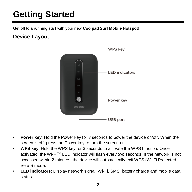# <span id="page-5-0"></span>**Getting Started**

Get off to a running start with your new **Coolpad Surf Mobile Hotspot!**

## <span id="page-5-1"></span>**Device Layout**



- **Power key**: Hold the Power key for 3 seconds to power the device on/off. When the screen is off, press the Power key to turn the screen on.
- **WPS key**: Hold the WPS key for 3 seconds to activate the WPS function. Once activated, the Wi-FiTM LED indicator will flash every two seconds. If the network is not accessed within 2 minutes, the device will automatically exit WPS (Wi-Fi Protected Setup) mode.
- **LED indicators**: Display network signal, Wi-Fi, SMS, battery charge and mobile data status.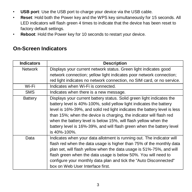- **USB port**: Use the USB port to charge your device via the USB cable.
- **Reset**: Hold both the Power key and the WPS key simultaneously for 15 seconds. All LED indicators will flash green 4 times to indicate that the device has been reset to factory default settings.
- **Reboot**: Hold the Power key for 10 seconds to restart your device.

### <span id="page-6-0"></span>**On-Screen Indicators**

| <b>Indicators</b> | <b>Description</b>                                                                                                                                                                                                                                                                                                                                                                                                                                           |
|-------------------|--------------------------------------------------------------------------------------------------------------------------------------------------------------------------------------------------------------------------------------------------------------------------------------------------------------------------------------------------------------------------------------------------------------------------------------------------------------|
| Network           | Displays your current network status. Green light indicates good                                                                                                                                                                                                                                                                                                                                                                                             |
|                   | network connection; yellow light indicates poor network connection;                                                                                                                                                                                                                                                                                                                                                                                          |
|                   | red light indicates no network connection, no SIM card, or no service.                                                                                                                                                                                                                                                                                                                                                                                       |
| Wi-Fi             | Indicates when Wi-Fi is connected.                                                                                                                                                                                                                                                                                                                                                                                                                           |
| <b>SMS</b>        | Indicates when there is a new message.                                                                                                                                                                                                                                                                                                                                                                                                                       |
| Battery           | Displays your current battery status. Solid green light indicates the<br>battery level is 40%-100%, solid yellow light indicates the battery<br>level is 16%-39%, and solid red light indicates the battery level is less<br>than 15%; when the device is charging, the indicator will flash red<br>when the battery level is below 15%, will flash yellow when the<br>battery level is 16%-39%, and will flash green when the battery level<br>is 40%-100%. |
| Data              | Indicates when your data allotment is running out. The indicator will<br>flash red when the data usage is higher than 75% of the monthly data<br>plan set, will flash yellow when the data usage is 51%-75%, and will<br>flash green when the data usage is below 50%. You will need to<br>configure your monthly data plan and tick the "Auto Disconnected"<br>box on Web User Interface first.                                                             |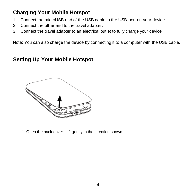## <span id="page-7-0"></span>**Charging Your Mobile Hotspot**

- 1. Connect the microUSB end of the USB cable to the USB port on your device.
- 2. Connect the other end to the travel adapter.
- 3. Connect the travel adapter to an electrical outlet to fully charge your device.

Note: You can also charge the device by connecting it to a computer with the USB cable.

### <span id="page-7-1"></span>**Setting Up Your Mobile Hotspot**



1. Open the back cover. Lift gently in the direction shown.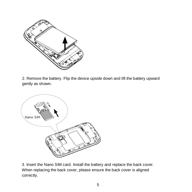

2. Remove the battery. Flip the device upside down and lift the battery upward gently as shown.



3. Insert the Nano SIM card. Install the battery and replace the back cover. When replacing the back cover, please ensure the back cover is aligned correctly.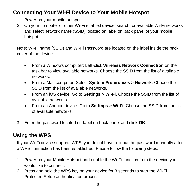## <span id="page-9-0"></span>**Connecting Your Wi-Fi Device to Your Mobile Hotspot**

- 1. Power on your mobile hotspot.
- 2. On your computer or other Wi-Fi enabled device, search for available Wi-Fi networks and select network name (SSID) located on label on back panel of your mobile hotspot.

Note: Wi-Fi name (SSID) and Wi-Fi Password are located on the label inside the back cover of the device.

- From a Windows computer: Left-click **Wireless Network Connection** on the task bar to view available networks. Choose the SSID from the list of available networks.
- From a Mac computer: Select **System Preferences** > **Network**. Choose the SSID from the list of available networks.
- From an iOS device: Go to **Settings** > **Wi-Fi**. Choose the SSID from the list of available networks.
- From an Android device: Go to **Settings** > **Wi-Fi**. Choose the SSID from the list of available networks.
- 3. Enter the password located on label on back panel and click **OK**.

## <span id="page-9-1"></span>**Using the WPS**

If your Wi-Fi device supports WPS, you do not have to input the password manually after a WPS connection has been established. Please follow the following steps:

- 1. Power on your Mobile Hotspot and enable the Wi-Fi function from the device you would like to connect.
- 2. Press and hold the WPS key on your device for 3 seconds to start the Wi-Fi Protected Setup authentication process.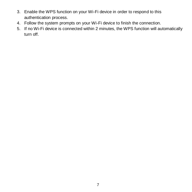- 3. Enable the WPS function on your Wi-Fi device in order to respond to this authentication process.
- 4. Follow the system prompts on your Wi-Fi device to finish the connection.
- 5. If no Wi-Fi device is connected within 2 minutes, the WPS function will automatically turn off.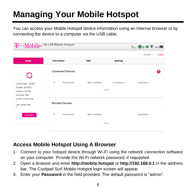# <span id="page-11-0"></span>**Managing Your Mobile Hotspot**

You can access your Mobile Hotspot device information using an Internet browser or by connecting the device to a computer via the USB cable.

| $\mathbf{T} \cdot \textbf{M}$ obile + 4G LTE Mobile Hotspot                        |                          |                            |                   | T.I <b>the 11 of</b> 196% <b>CO</b> |
|------------------------------------------------------------------------------------|--------------------------|----------------------------|-------------------|-------------------------------------|
|                                                                                    |                          |                            |                   | English $\vee$<br>Logout            |
| Home                                                                               | Information              | <b>SMS</b>                 | <b>Settings</b>   |                                     |
| G                                                                                  | <b>Connected Devices</b> |                            |                   | ค                                   |
| Current Data: 1.69 MB<br>Duration: 00:00:00<br>Upload: 4.00 TB/s<br>Download: OB/s | #<br><b>Host Name</b>    | <b>MAC Address</b><br>none | <b>IP Address</b> | Operation                           |
| Current connect time:<br>ш.<br>Last connect time:<br>-                             | <b>Blocked Devices</b>   |                            |                   |                                     |
| <b>Disconnect</b>                                                                  | <b>Host Name</b><br>#    | <b>MAC Address</b>         |                   | Operation                           |
|                                                                                    |                          | none                       |                   |                                     |

## <span id="page-11-1"></span>**Access Mobile Hotspot Using A Browser**

- 1. Connect to your hotspot device through Wi-Fi using the network connection software on your computer. Provide the Wi-Fi network password, if requested.
- 2. Open a browser and enter **http://mobile.hotspot** or **http://192.168.0.1** in the address bar. The Coolpad Surf Mobile Hotspot login screen will appear.
- 3. Enter your **Password** in the field provided. The default password is "admin".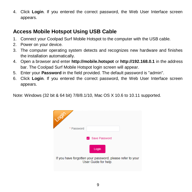4. Click **Login**. If you entered the correct password, the Web User Interface screen appears.

## <span id="page-12-0"></span>**Access Mobile Hotspot Using USB Cable**

- 1. Connect your Coolpad Surf Mobile Hotspot to the computer with the USB cable.
- 2. Power on your device.
- 3. The computer operating system detects and recognizes new hardware and finishes the installation automatically.
- 4. Open a browser and enter **http://mobile.hotspot** or **http://192.168.0.1** in the address bar. The Coolpad Surf Mobile Hotspot login screen will appear.
- 5. Enter your **Password** in the field provided. The default password is "admin".
- 6. Click **Login**. If you entered the correct password, the Web User Interface screen appears.

Note: Windows (32 bit & 64 bit) 7/8/8.1/10, Mac OS X 10.6 to 10.11 supported.

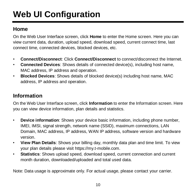# <span id="page-13-0"></span>**Web UI Configuration**

## <span id="page-13-1"></span>**Home**

On the Web User Interface screen, click **Home** to enter the Home screen. Here you can view current data, duration, upload speed, download speed, current connect time, last connect time, connected devices, blocked devices, etc.

- **Connect/Disconnect**: Click **Connect/Disconnect** to connect/disconnect the Internet.
- **Connected Devices**: Shows details of connected device(s), including host name, MAC address, IP address and operation.
- **Blocked Devices**: Shows details of blocked device(s) including host name, MAC address, IP address and operation.

## <span id="page-13-2"></span>**Information**

On the Web User Interface screen, click **Information** to enter the Information screen. Here you can view device information, plan details and statistics.

- **Device information**: Shows your device basic information, including phone number, IMEI, IMSI, signal strength, network name (SSID), maximum connections, LAN Domain, MAC address, IP address, WAN IP address, software version and hardware version.
- **View Plan Details**: Shows your billing day, monthly data plan and time limit. To view your plan details please visit https://my.t-mobile.com.
- **Statistics**: Shows upload speed, download speed, current connection and current month duration, downloaded/uploaded and total used data.

Note: Data usage is approximate only. For actual usage, please contact your carrier.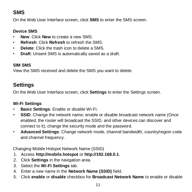## <span id="page-14-0"></span>**SMS**

On the Web User Interface screen, click **SMS** to enter the SMS screen.

#### **Device SMS**

- **New**: Click **New** to create a new SMS.
- **Refresh**: Click **Refresh** to refresh the SMS.
- **Delete**: Click the trash icon to delete a SMS.
- **Draft**: Unsent SMS is automatically saved as a draft.

#### **SIM SMS**

View the SMS received and delete the SMS you want to delete.

## <span id="page-14-1"></span>**Settings**

On the Web User Interface screen, click **Settings** to enter the Settings screen.

#### **Wi-Fi Settings**

- **Basic Settings**: Enable or disable Wi-Fi.
- **SSID**: Change the network name; enable or disable broadcast network name (Once enabled, the router will broadcast the SSID, and other devices can discover and connect to it); change the security mode and the password.
- **Advanced Settings**: Change network mode, channel bandwidth, country/region code and channel frequency.

Changing Mobile Hotspot Network Name (SSID)

- 1. Access **http://mobile.hotspot** or **http://192.168.0.1**.
- 2. Click **Settings** in the navigation area.
- 3. Select the **Wi-Fi Settings** tab.
- 4. Enter a new name in the **Network Name (SSID)** field.
- 5. Click **enable** or **disable** checkbox for **Broadcast Network Name** to enable or disable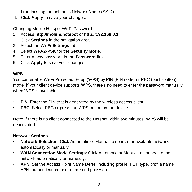broadcasting the hotspot's Network Name (SSID).

6. Click **Apply** to save your changes.

Changing Mobile Hotspot Wi-Fi Password

- 1. Access **http://mobile.hotspot** or **http://192.168.0.1**.
- 2. Click **Settings** in the navigation area.
- 3. Select the **Wi-Fi Settings** tab.
- 4. Select **WPA2-PSK** for the **Security Mode**.
- 5. Enter a new password in the **Password** field.
- 6. Click **Apply** to save your changes.

#### **WPS**

You can enable Wi-Fi Protected Setup (WPS) by PIN (PIN code) or PBC (push-button) mode. If your client device supports WPS, there's no need to enter the password manually when WPS is available.

- **PIN**: Enter the PIN that is generated by the wireless access client.
- **PBC**: Select PBC or press the WPS button on the device.

Note: If there is no client connected to the Hotspot within two minutes, WPS will be deactivated.

#### **Network Settings**

- **Network Selection**: Click Automatic or Manual to search for available networks automatically or manually.
- **WAN Connection Mode Settings**: Click Automatic or Manual to connect to the network automatically or manually.
- **APN**: Set the Access Point Name (APN) including profile, PDP type, profile name, APN, authentication, user name and password.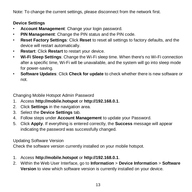Note: To change the current settings, please disconnect from the network first.

#### **Device Settings**

- **Account Management**: Change your login password.
- **PIN Management**: Change the PIN status and the PIN code.
- **Reset Factory Settings**: Click **Reset** to reset all settings to factory defaults, and the device will restart automatically.
- **Restart**: Click **Restart** to restart your device.
- **Wi-Fi Sleep Settings**: Change the Wi-Fi sleep time. When there's no Wi-Fi connection after a specific time, Wi-Fi will be unavailable, and the system will go into sleep mode for power-saving.
- **Software Updates**: Click **Check for update** to check whether there is new software or not.

Changing Mobile Hotspot Admin Password

- 1. Access **http://mobile.hotspot** or **http://192.168.0.1**.
- 2. Click **Settings** in the navigation area.
- 3. Select the **Device Settings** tab.
- 4. Follow steps under **Account Management** to update your Password.
- 5. Click **Apply**. If everything is entered correctly, the **Success** message will appear indicating the password was successfully changed.

Updating Software Version

Check the software version currently installed on your mobile hotspot.

- 1. Access **http://mobile.hotspot** or **http://192.168.0.1**.
- 2. Within the Web User Interface, go to **Information** > **Device Information** > **Software Version** to view which software version is currently installed on your device.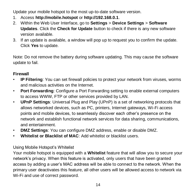Update your mobile hotspot to the most up-to-date software version.

- 1. Access **http://mobile.hotspot** or **http://192.168.0.1**.
- 2. Within the Web User Interface, go to **Settings** > **Device Settings** > **Software Updates**. Click the **Check for Update** button to check if there is any new software version available.
- 3. If an update is available, a window will pop up to request you to confirm the update. Click **Yes** to update.

Note: Do not remove the battery during software updating. This may cause the software update to fail.

#### **Firewall**

- **IP Filtering**: You can set firewall policies to protect your network from viruses, worms and malicious activities on the Internet.
- **Port Forwarding**: Configure a Port Forwarding setting to enable external computers to access WWW, FTP or other services provided by LAN.
- **UPnP Settings**: Universal Plug and Play (UPnP) is a set of networking protocols that allows networked devices, such as PC, printers, Internet gateways, Wi-Fi access points and mobile devices, to seamlessly discover each other's presence on the network and establish functional network services for data sharing, communications, and entertainment.
- **DMZ Settings**: You can configure DMZ address, enable or disable DMZ.
- **Whitelist or Blacklist of MAC**: Add whitelist or blacklist users.

#### Using Mobile Hotspot's Whitelist

Your mobile hotspot is equipped with a **Whitelist** feature that will allow you to secure your network's privacy. When this feature is activated, only users that have been granted access by adding a user's MAC address will be able to connect to the network. When the primary user deactivates this feature, all other users will be allowed access to network via Wi-Fi and use of correct password.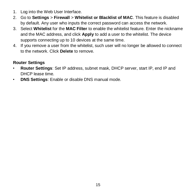- 1. Log into the Web User Interface.
- 2. Go to **Settings** > **Firewall** > **Whitelist or Blacklist of MAC**. This feature is disabled by default. Any user who inputs the correct password can access the network.
- 3. Select **Whitelist** for the **MAC Filter** to enable the whitelist feature. Enter the nickname and the MAC address, and click **Apply** to add a user to the whitelist. The device supports connecting up to 10 devices at the same time.
- 4. If you remove a user from the whitelist, such user will no longer be allowed to connect to the network. Click **Delete** to remove.

#### **Router Settings**

- **Router Settings**: Set IP address, subnet mask, DHCP server, start IP, end IP and DHCP lease time.
- **DNS Settings**: Enable or disable DNS manual mode.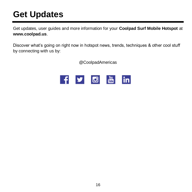## <span id="page-19-0"></span>**Get Updates**

Get updates, user guides and more information for your **Coolpad Surf Mobile Hotspot** at **www.coolpad.us**.

Discover what's going on right now in hotspot news, trends, techniques & other cool stuff by connecting with us by:

@CoolpadAmericas

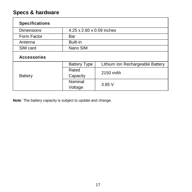## <span id="page-20-0"></span>**Specs & hardware**

| <b>Specifications</b> |                           |                                  |
|-----------------------|---------------------------|----------------------------------|
| <b>Dimensions</b>     | 4.25 x 2.60 x 0.59 inches |                                  |
| Form Factor           | Bar                       |                                  |
| Antenna               | Built-in                  |                                  |
| SIM card              | Nano SIM                  |                                  |
| <b>Accessories</b>    |                           |                                  |
|                       | <b>Battery Type</b>       | Lithium Ion Rechargeable Battery |
| <b>Battery</b>        | Rated                     | 2150 mAh                         |
|                       | Capacity                  |                                  |
|                       | Nominal                   | 3.85V                            |
|                       | Voltage                   |                                  |

**Note**: The battery capacity is subject to update and change.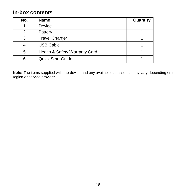### <span id="page-21-0"></span>**In-box contents**

| No. | <b>Name</b>                   | Quantity |
|-----|-------------------------------|----------|
|     | Device                        |          |
| 2   | Battery                       |          |
| 3   | <b>Travel Charger</b>         |          |
|     | <b>USB Cable</b>              |          |
| 5   | Health & Safety Warranty Card |          |
| 6   | <b>Quick Start Guide</b>      |          |

**Note:** The items supplied with the device and any available accessories may vary depending on the region or service provider.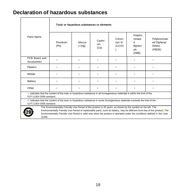### <span id="page-22-0"></span>**Declaration of hazardous substances**

|                                                                                                                                                                                                                                                                                                                                                                                 |                                                                                                                          | Toxic or hazardous substances or elements |                     |                             |                                                  |                                                        |
|---------------------------------------------------------------------------------------------------------------------------------------------------------------------------------------------------------------------------------------------------------------------------------------------------------------------------------------------------------------------------------|--------------------------------------------------------------------------------------------------------------------------|-------------------------------------------|---------------------|-----------------------------|--------------------------------------------------|--------------------------------------------------------|
| Parts Name                                                                                                                                                                                                                                                                                                                                                                      | Plumbum<br>(Pb)                                                                                                          | Mercur<br>y(Hg)                           | Cadmi<br>um<br>(Cd) | Chrom<br>ium VI<br>(Cr(VI)) | Polybro<br>minate<br>d<br>Biphen<br>yls<br>(PBB) | Polybrominat<br>ed Diphenyl<br><b>Ethers</b><br>(PBDE) |
| PCB Board and<br>Accessories                                                                                                                                                                                                                                                                                                                                                    | $\circ$                                                                                                                  | $\circ$                                   | $\circ$             | $\circ$                     | $\circ$                                          | $\circ$                                                |
| <b>Plastics</b>                                                                                                                                                                                                                                                                                                                                                                 | $\circ$                                                                                                                  | $\circ$                                   | $\circ$             | $\circ$                     | $\circ$                                          | $\circ$                                                |
| Metals                                                                                                                                                                                                                                                                                                                                                                          | $\circ$                                                                                                                  | $\circ$                                   | $\circ$             | $\Omega$                    | $\circ$                                          | $\circ$                                                |
| Battery                                                                                                                                                                                                                                                                                                                                                                         | $\circ$                                                                                                                  | $\circ$                                   | $\circ$             | $\Omega$                    | $\circ$                                          | $\circ$                                                |
| Other                                                                                                                                                                                                                                                                                                                                                                           | $\circ$                                                                                                                  | $\circ$                                   | $\circ$             | $\circ$                     | $\circ$                                          | $\circ$                                                |
| o: indicates that the content of the toxic or hazardous substance in all homogeneous materials is within the limit of the<br>SJ/T11363-2006 standard.                                                                                                                                                                                                                           |                                                                                                                          |                                           |                     |                             |                                                  |                                                        |
| SJ/T11363-2006 standard.                                                                                                                                                                                                                                                                                                                                                        | x: indicates that the content of the toxic or hazardous substance in some homogeneous materials exceeds the limit of the |                                           |                     |                             |                                                  |                                                        |
| The Environmentally Friendly Use Period of this product is 20 years, as shown by the symbol on the left. The<br>Environmentally Friendly Use Period of replaceable parts, such as battery, may be different from that of the product. The<br>Environmentally Friendly Use Period is valid only when the product is operated under the conditions defined in this User<br>Guide. |                                                                                                                          |                                           |                     |                             |                                                  |                                                        |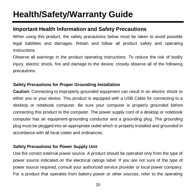## <span id="page-23-0"></span>**Health/Safety/Warranty Guide**

## <span id="page-23-1"></span>**Important Health Information and Safety Precautions**

When using this product, the safety precautions below must be taken to avoid possible legal liabilities and damages. Retain and follow all product safety and operating instructions.

Observe all warnings in the product operating instructions. To reduce the risk of bodily injury, electric shock, fire and damage to the device, closely observe all of the following precautions.

#### **Safety Precautions for Proper Grounding Installation**

**Caution**: Connecting to improperly grounded equipment can result in an electric shock to either you or your device. This product is equipped with a USB Cable for connecting to a desktop or notebook computer. Be sure your computer is properly grounded before connecting this product to the computer. The power supply cord of a desktop or notebook computer has an equipment-grounding conductor and a grounding plug. The grounding plug must be plugged into an appropriate outlet which is properly installed and grounded in accordance with all local codes and ordinances.

#### **Safety Precautions for Power Supply Unit**

Use the correct external power source. A product should be operated only from the type of power source indicated on the electrical ratings label. If you are not sure of the type of power source required, consult your authorized service provider or local power company. For a product that operates from battery power or other sources, refer to the operating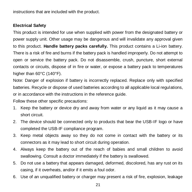instructions that are included with the product.

#### **Electrical Safety**

This product is intended for use when supplied with power from the designated battery or power supply unit. Other usage may be dangerous and will invalidate any approval given to this product. **Handle battery packs carefully.** This product contains a Li-ion battery. There is a risk of fire and burns if the battery pack is handled improperly. Do not attempt to open or service the battery pack. Do not disassemble, crush, puncture, short external contacts or circuits, dispose of in fire or water, or expose a battery pack to temperatures higher than 60°C (140°F).

Note: Danger of explosion if battery is incorrectly replaced. Replace only with specified batteries. Recycle or dispose of used batteries according to all applicable local regulations, or in accordance with the instructions in the reference guide.

Follow these other specific precautions:

- 1. Keep the battery or device dry and away from water or any liquid as it may cause a short circuit.
- 2. The device should be connected only to products that bear the USB-IF logo or have completed the USB-IF compliance program.
- 3. Keep metal objects away so they do not come in contact with the battery or its connectors as it may lead to short circuit during operation.
- 4. Always keep the battery out of the reach of babies and small children to avoid swallowing. Consult a doctor immediately if the battery is swallowed.
- 5. Do not use a battery that appears damaged, deformed, discolored, has any rust on its casing, if it overheats, and/or if it emits a foul odor.
- 6. Use of an unqualified battery or charger may present a risk of fire, explosion, leakage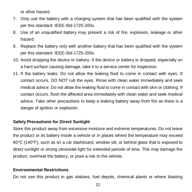or other hazard.

- 7. Only use the battery with a charging system that has been qualified with the system per this standard: IEEE-Std-1725-200x.
- 8. Use of an unqualified battery may present a risk of fire, explosion, leakage or other hazard.
- 9. Replace the battery only with another battery that has been qualified with the system per this standard: IEEE-Std-1725-200x.
- 10. Avoid dropping the device or battery. If the device or battery is dropped, especially on a hard surface causing damage, take it to a service center for inspection.
- 11. If the battery leaks: Do not allow the leaking fluid to come in contact with eyes. If contact occurs, DO NOT rub the eyes. Rinse with clean water immediately and seek medical advice. Do not allow the leaking fluid to come in contact with skin or clothing. If contact occurs, flush the affected area immediately with clean water and seek medical advice. Take other precautions to keep a leaking battery away from fire as there is a danger of ignition or explosion.

#### **Safety Precautions for Direct Sunlight**

Store this product away from excessive moisture and extreme temperatures. Do not leave the product or its battery inside a vehicle or in places where the temperature may exceed 60°C (140°F), such as on a car dashboard, window sill, or behind glass that is exposed to direct sunlight or strong ultraviolet light for extended periods of time. This may damage the product, overheat the battery, or pose a risk to the vehicle.

#### **Environmental Restrictions**

Do not use this product in gas stations, fuel depots, chemical plants or where blasting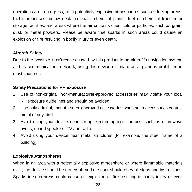operations are in progress, or in potentially explosive atmospheres such as fueling areas, fuel storehouses, below deck on boats, chemical plants, fuel or chemical transfer or storage facilities, and areas where the air contains chemicals or particles, such as grain, dust, or metal powders. Please be aware that sparks in such areas could cause an explosion or fire resulting in bodily injury or even death.

#### **Aircraft Safety**

Due to the possible interference caused by this product to an aircraft's navigation system and its communications network, using this device on board an airplane is prohibited in most countries.

#### **Safety Precautions for RF Exposure**

- 1. Use of non-original, non-manufacturer-approved accessories may violate your local RF exposure guidelines and should be avoided.
- 2. Use only original, manufacturer-approved accessories when such accessories contain metal of any kind.
- 3. Avoid using your device near strong electromagnetic sources, such as microwave ovens, sound speakers, TV and radio.
- 4. Avoid using your device near metal structures (for example, the steel frame of a building).

#### **Explosive Atmospheres**

When in an area with a potentially explosive atmosphere or where flammable materials exist, the device should be turned off and the user should obey all signs and instructions. Sparks in such areas could cause an explosion or fire resulting in bodily injury or even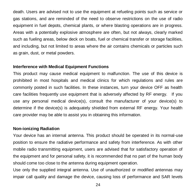death. Users are advised not to use the equipment at refueling points such as service or gas stations, and are reminded of the need to observe restrictions on the use of radio equipment in fuel depots, chemical plants, or where blasting operations are in progress. Areas with a potentially explosive atmosphere are often, but not always, clearly marked such as fueling areas, below deck on boats, fuel or chemical transfer or storage facilities, and including, but not limited to areas where the air contains chemicals or particles such as grain, dust, or metal powders.

#### **Interference with Medical Equipment Functions**

This product may cause medical equipment to malfunction. The use of this device is prohibited in most hospitals and medical clinics for which regulations and rules are commonly posted in such facilities. In these instances, turn your device OFF as health care facilities frequently use equipment that is adversely affected by RF energy. If you use any personal medical device(s), consult the manufacturer of your device(s) to determine if the device(s) is adequately shielded from external RF energy. Your health care provider may be able to assist you in obtaining this information.

#### **Non-ionizing Radiation**

Your device has an internal antenna. This product should be operated in its normal-use position to ensure the radiative performance and safety from interference. As with other mobile radio transmitting equipment, users are advised that for satisfactory operation of the equipment and for personal safety, it is recommended that no part of the human body should come too close to the antenna during equipment operation.

Use only the supplied integral antenna. Use of unauthorized or modified antennas may impair call quality and damage the device, causing loss of performance and SAR levels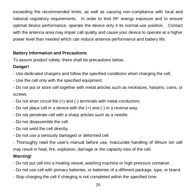exceeding the recommended limits, as well as causing non-compliance with local and national regulatory requirements. In order to limit RF energy exposure and to ensure optimal device performance, operate the device only it its normal-use position. Contact with the antenna area may impair call quality and cause your device to operate at a higher power level than needed which can reduce antenna performance and battery life.

#### **Battery Information and Precautions**

To assure product safety, there shall be precautions below.

#### **Danger!**

- Use dedicated chargers and follow the specified conditions when charging the cell.

- Use the cell only with the specified equipment.

- Do not put or store cell together with metal articles such as necklaces, hairpins, coins, or screws.

- Do not short circuit the  $(+)$  and  $(-)$  terminals with metal conductors.
- Do not place cell in a device with the (+) and (-) in a reverse way.
- Do not penetrate cell with a sharp articles such as a needle.
- Do not disassemble the cell.
- Do not weld the cell directly.
- Do not use a seriously damaged or deformed cell.

- Thoroughly read the user's manual before use, Inaccurate handling of lithium ion cell may result in heat, fire, explosion, damage or the capacity loss of the cell.

#### **Warning!**

- Do not put cell into a heating vessel, washing machine or high-pressure container.
- Do not use cell with primary batteries, or batteries of a different package, type, or brand.
- Stop charging the cell if charging is not completed within the specified time.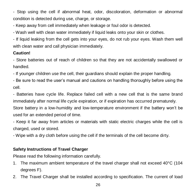- Stop using the cell if abnormal heat, odor, discoloration, deformation or abnormal condition is detected during use, charge, or storage.

- Keep away from cell immediately when leakage or foul odor is detected.

- Wash well with clean water immediately if liquid leaks onto your skin or clothes.

- If liquid leaking from the cell gets into your eyes, do not rub your eyes. Wash them well with clean water and call physician immediately.

#### **Caution!**

- Store batteries out of reach of children so that they are not accidentally swallowed or handled.

- If younger children use the cell, their guardians should explain the proper handling.

- Be sure to read the user's manual and cautions on handling thoroughly before using the cell.

- Batteries have cycle life. Replace failed cell with a new cell that is the same brand immediately after normal life cycle expiration, or if expiration has occurred prematurely.

Store battery in a low-humidity and low-temperature environment if the battery won't be used for an extended period of time.

- Keep it far away from articles or materials with static electric charges while the cell is charged, used or stored.

- Wipe with a dry cloth before using the cell if the terminals of the cell become dirty.

#### **Safety Instructions of Travel Charger**

Please read the following information carefully.

- 1. The maximum ambient temperature of the travel charger shall not exceed 40°C (104 degrees F).
- 2. The Travel Charger shall be installed according to specification. The current of load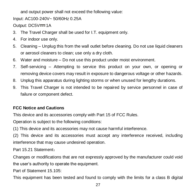and output power shall not exceed the following value:

Input: AC100-240V~ 50/60Hz 0.25A

Output:  $DC5V == 1A$ 

- 3. The Travel Charger shall be used for I.T. equipment only.
- 4. For indoor use only.
- 5. Cleaning Unplug this from the wall outlet before cleaning. Do not use liquid cleaners or aerosol cleaners to clean; use only a dry cloth.
- 6. Water and moisture Do not use this product under moist environment.
- 7. Self-servicing Attempting to service this product on your own, or opening or removing device covers may result in exposure to dangerous voltage or other hazards.
- 8. Unplug this apparatus during lighting storms or when unused for lengthy durations.
- 9. This Travel Charger is not intended to be repaired by service personnel in case of failure or component defect.

#### **FCC Notice and Cautions**

This device and its accessories comply with Part 15 of FCC Rules.

Operation is subject to the following conditions:

(1) This device and its accessories may not cause harmful interference.

(2) This device and its accessories must accept any interference received, including interference that may cause undesired operation.

Part 15.21 Statement:

Changes or modifications that are not expressly approved by the manufacturer could void the user's authority to operate the equipment.

Part of Statement 15.105:

This equipment has been tested and found to comply with the limits for a class B digital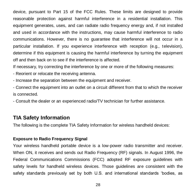device, pursuant to Part 15 of the FCC Rules. These limits are designed to provide reasonable protection against harmful interference in a residential installation. This equipment generates, uses, and can radiate radio frequency energy and, if not installed and used in accordance with the instructions, may cause harmful interference to radio communications. However, there is no guarantee that interference will not occur in a particular installation. If you experience interference with reception (e.g., television), determine if this equipment is causing the harmful interference by turning the equipment off and then back on to see if the interference is affected.

If necessary, try correcting the interference by one or more of the following measures:

- Reorient or relocate the receiving antenna.
- Increase the separation between the equipment and receiver.

- Connect the equipment into an outlet on a circuit different from that to which the receiver is connected.

- Consult the dealer or an experienced radio/TV technician for further assistance.

#### <span id="page-31-0"></span>**TIA Safety Information**

The following is the complete TIA Safety Information for wireless handheld devices:

#### **Exposure to Radio Frequency Signal**

Your wireless handheld portable device is a low-power radio transmitter and receiver. When ON, it receives and sends out Radio Frequency (RF) signals. In August 1996, the Federal Communications Commissions (FCC) adopted RF exposure guidelines with safety levels for handheld wireless devices. Those guidelines are consistent with the safety standards previously set by both U.S. and international standards 'bodies, as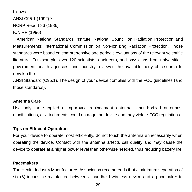```
follows: 
ANSI C95.1 (1992) *
NCRP Report 86 (1986)
ICNIRP (1996)
```
\* American National Standards Institute; National Council on Radiation Protection and Measurements; International Commission on Non-Ionizing Radiation Protection. Those standards were based on comprehensive and periodic evaluations of the relevant scientific literature. For example, over 120 scientists, engineers, and physicians from universities, government health agencies, and industry reviewed the available body of research to develop the

ANSI Standard (C95.1). The design of your device complies with the FCC guidelines (and those standards).

#### **Antenna Care**

Use only the supplied or approved replacement antenna. Unauthorized antennas, modifications, or attachments could damage the device and may violate FCC regulations.

#### **Tips on Efficient Operation**

For your device to operate most efficiently, do not touch the antenna unnecessarily when operating the device. Contact with the antenna affects call quality and may cause the device to operate at a higher power level than otherwise needed, thus reducing battery life.

#### **Pacemakers**

The Health Industry Manufacturers Association recommends that a minimum separation of six (6) inches be maintained between a handheld wireless device and a pacemaker to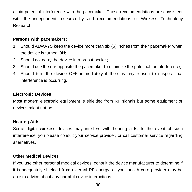avoid potential interference with the pacemaker. These recommendations are consistent with the independent research by and recommendations of Wireless Technology Research.

#### **Persons with pacemakers:**

- 1. Should ALWAYS keep the device more than six (6) inches from their pacemaker when the device is turned ON;
- 2. Should not carry the device in a breast pocket;
- 3. Should use the ear opposite the pacemaker to minimize the potential for interference;
- 4. Should turn the device OFF immediately if there is any reason to suspect that interference is occurring.

#### **Electronic Devices**

Most modern electronic equipment is shielded from RF signals but some equipment or devices might not be.

#### **Hearing Aids**

Some digital wireless devices may interfere with hearing aids. In the event of such interference, you please consult your service provider, or call customer service regarding alternatives.

#### **Other Medical Devices**

If you use other personal medical devices, consult the device manufacturer to determine if it is adequately shielded from external RF energy, or your health care provider may be able to advice about any harmful device interactions.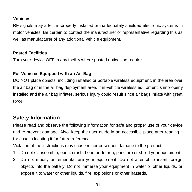#### **Vehicles**

RF signals may affect improperly installed or inadequately shielded electronic systems in motor vehicles. Be certain to contact the manufacturer or representative regarding this as well as manufacturer of any additional vehicle equipment.

#### **Posted Facilities**

Turn your device OFF in any facility where posted notices so require.

#### **For Vehicles Equipped with an Air Bag**

DO NOT place objects, including installed or portable wireless equipment, in the area over the air bag or in the air bag deployment area. If in-vehicle wireless equipment is improperly installed and the air bag inflates, serious injury could result since air bags inflate with great force.

## <span id="page-34-0"></span>**Safety Information**

Please read and observe the following information for safe and proper use of your device and to prevent damage. Also, keep the user guide in an accessible place after reading it for ease in locating it for future reference.

Violation of the instructions may cause minor or serious damage to the product.

- 1. Do not disassemble, open, crush, bend or deform, puncture or shred your equipment.
- 2. Do not modify or remanufacture your equipment. Do not attempt to insert foreign objects into the battery. Do not immerse your equipment in water or other liquids, or expose it to water or other liquids, fire, explosions or other hazards.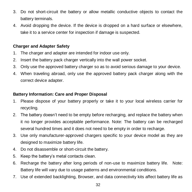- 3. Do not short-circuit the battery or allow metallic conductive objects to contact the battery terminals.
- 4. Avoid dropping the device. If the device is dropped on a hard surface or elsewhere, take it to a service center for inspection if damage is suspected.

#### **Charger and Adapter Safety**

- 1. The charger and adapter are intended for indoor use only.
- 2. Insert the battery pack charger vertically into the wall power socket.
- 3. Only use the approved battery charger so as to avoid serious damage to your device.
- 4. When traveling abroad, only use the approved battery pack charger along with the correct device adapter.

#### **Battery Information: Care and Proper Disposal**

- 1. Please dispose of your battery properly or take it to your local wireless carrier for recycling.
- 2. The battery doesn't need to be empty before recharging, and replace the battery when it no longer provides acceptable performance. Note: The battery can be recharged several hundred times and it does not need to be empty in order to recharge.
- 3. Use only manufacturer-approved chargers specific to your device model as they are designed to maximize battery life.
- 4. Do not disassemble or short-circuit the battery.
- 5. Keep the battery's metal contacts clean.
- 6. Recharge the battery after long periods of non-use to maximize battery life. Note: Battery life will vary due to usage patterns and environmental conditions.
- 7. Use of extended backlighting, Browser, and data connectivity kits affect battery life as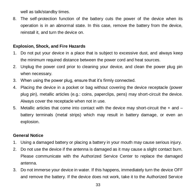well as talk/standby times.

8. The self-protection function of the battery cuts the power of the device when its operation is in an abnormal state. In this case, remove the battery from the device, reinstall it, and turn the device on.

#### **Explosion, Shock, and Fire Hazards**

- 1. Do not put your device in a place that is subject to excessive dust, and always keep the minimum required distance between the power cord and heat sources.
- 2. Unplug the power cord prior to cleaning your device, and clean the power plug pin when necessary.
- 3. When using the power plug, ensure that it's firmly connected.
- 4. Placing the device in a pocket or bag without covering the device receptacle (power plug pin), metallic articles (e.g.: coins, paperclips, pens) may short-circuit the device. Always cover the receptacle when not in use.
- 5. Metallic articles that come into contact with the device may short-circuit the + and battery terminals (metal strips) which may result in battery damage, or even an explosion.

#### **General Notice**

- 1. Using a damaged battery or placing a battery in your mouth may cause serious injury.
- 2. Do not use the device if the antenna is damaged as it may cause a slight contact burn. Please communicate with the Authorized Service Center to replace the damaged antenna.
- 3. Do not immerse your device in water. If this happens, immediately turn the device OFF and remove the battery. If the device does not work, take it to the Authorized Service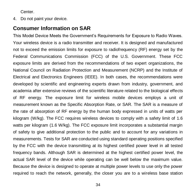Center.

4. Do not paint your device.

## <span id="page-37-0"></span>**Consumer Information on SAR**

This Model Device Meets the Government's Requirements for Exposure to Radio Waves. Your wireless device is a radio transmitter and receiver. It is designed and manufactured not to exceed the emission limits for exposure to radiofrequency (RF) energy set by the Federal Communications Commission (FCC) of the U.S. Government. These FCC exposure limits are derived from the recommendations of two expert organizations, the National Council on Radiation Protection and Measurement (NCRP) and the Institute of Electrical and Electronics Engineers (IEEE). In both cases, the recommendations were developed by scientific and engineering experts drawn from industry, government, and academia after extensive reviews of the scientific literature related to the biological effects of RF energy. The exposure limit for wireless mobile devices employs a unit of measurement known as the Specific Absorption Rate, or SAR. The SAR is a measure of the rate of absorption of RF energy by the human body expressed in units of watts per kilogram (W/kg). The FCC requires wireless devices to comply with a safety limit of 1.6 watts per kilogram (1.6 W/kg). The FCC exposure limit incorporates a substantial margin of safety to give additional protection to the public and to account for any variations in measurements. Tests for SAR are conducted using standard operating positions specified by the FCC with the device transmitting at its highest certified power level in all tested frequency bands. Although SAR is determined at the highest certified power level, the actual SAR level of the device while operating can be well below the maximum value. Because the device is designed to operate at multiple power levels to use only the power required to reach the network, generally, the closer you are to a wireless base station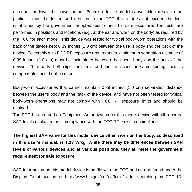antenna, the lower the power output. Before a device model is available for sale to the public, it must be tested and certified to the FCC that it does not exceed the limit established by the government adopted requirement for safe exposure. The tests are performed in positions and locations (e.g., at the ear and worn on the body) as required by the FCC for each model. This device was tested for typical body-worn operations with the back of the device kept 0.39 inches (1.0 cm) between the user's body and the back of the device. To comply with FCC RF exposure requirements, a minimum separation distance of 0.39 inches (1.0 cm) must be maintained between the user's body and the back of the device. Third-party belt clips, holsters, and similar accessories containing metallic components should not be used.

Body-worn accessories that cannot maintain 0.39 inches (1.0 cm) separation distance between the user's body and the back of the device, and have not been tested for typical body-worn operations may not comply with FCC RF exposure limits and should be avoided.

The FCC has granted an Equipment Authorization for this model device with all reported SAR levels evaluated as in compliance with the FCC RF emission guidelines.

**The highest SAR value for this model device when worn on the body, as described in this user's manual, is 1.13 W/kg. While there may be differences between SAR levels of various devices and at various positions, they all meet the government requirement for safe exposure.**

SAR information on this model device is on file with the FCC and can be found under the Display Grant section of http://www.fcc.gov/oet/ea/fccid/ after searching on FCC ID: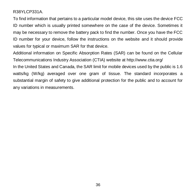R38YLCP331A.

To find information that pertains to a particular model device, this site uses the device FCC ID number which is usually printed somewhere on the case of the device. Sometimes it may be necessary to remove the battery pack to find the number. Once you have the FCC ID number for your device, follow the instructions on the website and it should provide values for typical or maximum SAR for that device.

Additional information on Specific Absorption Rates (SAR) can be found on the Cellular Telecommunications Industry Association (CTIA) website at http://www.ctia.org/

In the United States and Canada, the SAR limit for mobile devices used by the public is 1.6 watts/kg (W/kg) averaged over one gram of tissue. The standard incorporates a substantial margin of safety to give additional protection for the public and to account for any variations in measurements.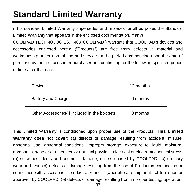## <span id="page-40-0"></span>**Standard Limited Warranty**

(This standard Limited Warranty supersedes and replaces for all purposes the Standard Limited Warranty that appears in the enclosed documentation, if any)

COOLPAD TECHNOLOGIES, INC.("COOLPAD") warrants that COOLPAD's devices and accessories enclosed herein ("Products") are free from defects in material and workmanship under normal use and service for the period commencing upon the date of purchase by the first consumer purchaser and continuing for the following specified period of time after that date:

| Device                                         | 12 months |
|------------------------------------------------|-----------|
| Battery and Charger                            | 6 months  |
| Other Accessories (If included in the box set) | 3 months  |

This Limited Warranty is conditioned upon proper use of the Products. **This Limited Warranty does not cover**: (a) defects or damage resulting from accident, misuse, abnormal use, abnormal conditions, improper storage, exposure to liquid, moisture, dampness, sand or dirt, neglect, or unusual physical, electrical or electromechanical stress; (b) scratches, dents and cosmetic damage, unless caused by COOLPAD; (c) ordinary wear and tear; (d) defects or damage resulting from the use of Product in conjunction or connection with accessories, products, or ancillary/peripheral equipment not furnished or approved by COOLPAD; (e) defects or damage resulting from improper testing, operation,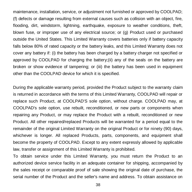maintenance, installation, service, or adjustment not furnished or approved by COOLPAD; (f) defects or damage resulting from external causes such as collision with an object, fire, flooding, dirt, windstorm, lightning, earthquake, exposure to weather conditions, theft, blown fuse, or improper use of any electrical source; or (g) Product used or purchased outside the United States. This Limited Warranty covers batteries only if battery capacity falls below 80% of rated capacity or the battery leaks, and this Limited Warranty does not cover any battery if: (i) the battery has been charged by a battery charger not specified or approved by COOLPAD for charging the battery;(ii) any of the seals on the battery are broken or show evidence of tampering; or (iii) the battery has been used in equipment other than the COOLPAD device for which it is specified.

During the applicable warranty period, provided the Product subject to the warranty claim is returned in accordance with the terms of this Limited Warranty, COOLPAD will repair or replace such Product, at COOLPAD'S sole option, without charge. COOLPAD may, at COOLPAD's sole option, use rebuilt, reconditioned, or new parts or components when repairing any Product, or may replace the Product with a rebuilt, reconditioned or new Product. All other repaired/replaced Products will be warranted for a period equal to the remainder of the original Limited Warranty on the original Product or for ninety (90) days, whichever is longer. All replaced Products, parts, components, and equipment shall become the property of COOLPAD. Except to any extent expressly allowed by applicable law, transfer or assignment of this Limited Warranty is prohibited.

To obtain service under this Limited Warranty, you must return the Product to an authorized device service facility in an adequate container for shipping, accompanied by the sales receipt or comparable proof of sale showing the original date of purchase, the serial number of the Product and the seller's name and address. To obtain assistance on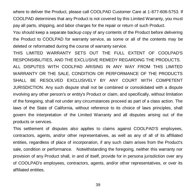where to deliver the Product, please call COOLPAD Customer Care at 1-877-606-5753. If COOLPAD determines that any Product is not covered by this Limited Warranty, you must pay all parts, shipping, and labor charges for the repair or return of such Product.

You should keep a separate backup copy of any contents of the Product before delivering the Product to COOLPAD for warranty service, as some or all of the contents may be deleted or reformatted during the course of warranty service.

THIS LIMITED WARRANTY SETS OUT THE FULL EXTENT OF COOLPAD'S RESPONSIBILITIES, AND THE EXCLUSIVE REMEDY REGARDING THE PRODUCTS. ALL DISPUTES WITH COOLPAD ARISING IN ANY WAY FROM THIS LIMITED WARRANTY OR THE SALE, CONDITION OR PERFORMANCE OF THE PRODUCTS SHALL BE RESOLVED EXCLUSIVELY BY ANY COURT WITH COMPETENT JURISDICTION. Any such dispute shall not be combined or consolidated with a dispute involving any other person's or entity's Product or claim, and specifically, without limitation of the foregoing, shall not under any circumstances proceed as part of a class action. The laws of the State of California, without reference to its choice of laws principles, shall govern the interpretation of the Limited Warranty and all disputes arising out of the products or services.

This settlement of disputes also applies to claims against COOLPAD'S employees, contractors, agents, and/or other representatives, as well as any of all of its affiliated entities, regardless of place of incorporation, if any such claim arises from the Product's sale, condition or performance. Notwithstanding the foregoing, neither this warranty nor provision of any Product shall, in and of itself, provide for in persona jurisdiction over any of COOLPAD's employees, contractors, agents, and/or other representatives, or over its affiliated entities.

39